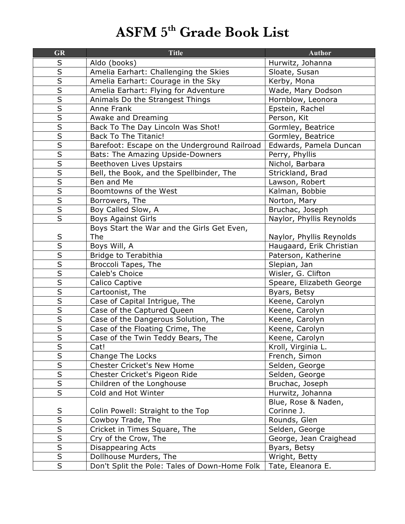## **ASFM 5th Grade Book List**

| <b>GR</b>               | <b>Title</b>                                  | <b>Author</b>            |
|-------------------------|-----------------------------------------------|--------------------------|
| $\sf S$                 | Aldo (books)                                  | Hurwitz, Johanna         |
| $\overline{\mathsf{s}}$ | Amelia Earhart: Challenging the Skies         | Sloate, Susan            |
| $\overline{\mathsf{S}}$ | Amelia Earhart: Courage in the Sky            | Kerby, Mona              |
| $\overline{\mathsf{s}}$ | Amelia Earhart: Flying for Adventure          | Wade, Mary Dodson        |
| $\overline{\mathsf{s}}$ | Animals Do the Strangest Things               | Hornblow, Leonora        |
| $\overline{\mathsf{s}}$ | Anne Frank                                    | Epstein, Rachel          |
| S                       | Awake and Dreaming                            | Person, Kit              |
| $\overline{\mathsf{s}}$ | Back To The Day Lincoln Was Shot!             | Gormley, Beatrice        |
| $\overline{\mathsf{S}}$ | <b>Back To The Titanic!</b>                   | Gormley, Beatrice        |
| $\overline{\mathsf{s}}$ | Barefoot: Escape on the Underground Railroad  | Edwards, Pamela Duncan   |
| $\overline{\mathsf{S}}$ | Bats: The Amazing Upside-Downers              | Perry, Phyllis           |
| $\overline{\mathsf{s}}$ | Beethoven Lives Upstairs                      | Nichol, Barbara          |
| $\overline{\mathsf{s}}$ | Bell, the Book, and the Spellbinder, The      | Strickland, Brad         |
|                         | Ben and Me                                    | Lawson, Robert           |
| $rac{\overline{S}}{S}$  | Boomtowns of the West                         | Kalman, Bobbie           |
|                         | Borrowers, The                                | Norton, Mary             |
| $\overline{S}$          | Boy Called Slow, A                            | Bruchac, Joseph          |
| $\overline{\mathsf{s}}$ | <b>Boys Against Girls</b>                     | Naylor, Phyllis Reynolds |
|                         | Boys Start the War and the Girls Get Even,    |                          |
|                         | The                                           | Naylor, Phyllis Reynolds |
| $rac{S}{S}$             | Boys Will, A                                  | Haugaard, Erik Christian |
| $\overline{\mathsf{s}}$ | Bridge to Terabithia                          | Paterson, Katherine      |
| $\overline{\mathsf{s}}$ | Broccoli Tapes, The                           | Slepian, Jan             |
| $\overline{\mathsf{s}}$ | Caleb's Choice                                | Wisler, G. Clifton       |
| $\overline{\mathsf{s}}$ | Calico Captive                                | Speare, Elizabeth George |
| $\overline{\mathsf{s}}$ | Cartoonist, The                               | Byars, Betsy             |
| $\overline{\mathsf{S}}$ | Case of Capital Intrigue, The                 | Keene, Carolyn           |
| $\overline{\mathsf{s}}$ | Case of the Captured Queen                    | Keene, Carolyn           |
| $\overline{\mathsf{S}}$ | Case of the Dangerous Solution, The           | Keene, Carolyn           |
| $\overline{\mathsf{s}}$ | Case of the Floating Crime, The               | Keene, Carolyn           |
| $\overline{\mathsf{s}}$ | Case of the Twin Teddy Bears, The             | Keene, Carolyn           |
| S                       | Cat!                                          | Kroll, Virginia L.       |
| $\overline{\mathsf{S}}$ | Change The Locks                              | French, Simon            |
| $\overline{\mathsf{s}}$ | Chester Cricket's New Home                    | Selden, George           |
| $\overline{\mathsf{S}}$ | Chester Cricket's Pigeon Ride                 | Selden, George           |
| $\overline{\mathsf{s}}$ | Children of the Longhouse                     | Bruchac, Joseph          |
| $\overline{\mathsf{s}}$ | Cold and Hot Winter                           | Hurwitz, Johanna         |
|                         |                                               | Blue, Rose & Naden,      |
| $\sf S$                 | Colin Powell: Straight to the Top             | Corinne J.               |
| $\overline{\mathsf{s}}$ | Cowboy Trade, The                             | Rounds, Glen             |
| $\overline{\mathsf{s}}$ | Cricket in Times Square, The                  | Selden, George           |
| $\overline{\mathsf{s}}$ | Cry of the Crow, The                          | George, Jean Craighead   |
| $\overline{\mathsf{S}}$ | Disappearing Acts                             | Byars, Betsy             |
| $\overline{\mathsf{s}}$ | Dollhouse Murders, The                        | Wright, Betty            |
| $\overline{\mathsf{S}}$ | Don't Split the Pole: Tales of Down-Home Folk | Tate, Eleanora E.        |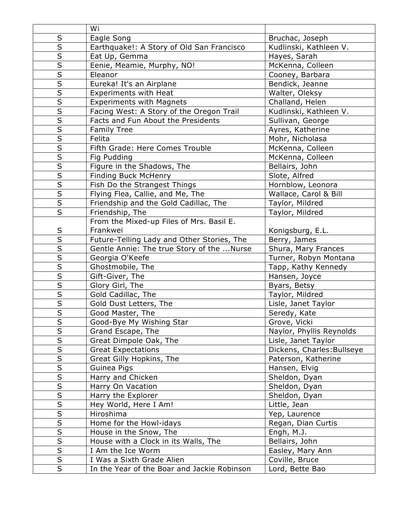|                         | Wi                                          |                            |
|-------------------------|---------------------------------------------|----------------------------|
| $\sf S$                 | Eagle Song                                  | Bruchac, Joseph            |
| $\sf S$                 | Earthquake!: A Story of Old San Francisco   | Kudlinski, Kathleen V.     |
| $\overline{\mathsf{S}}$ | Eat Up, Gemma                               | Hayes, Sarah               |
| $\overline{\mathsf{S}}$ | Eenie, Meamie, Murphy, NO!                  | McKenna, Colleen           |
| $\overline{\mathsf{s}}$ | Eleanor                                     | Cooney, Barbara            |
| $\sf S$                 | Eureka! It's an Airplane                    | Bendick, Jeanne            |
| $\overline{\mathsf{s}}$ | <b>Experiments with Heat</b>                | Walter, Oleksy             |
| $\overline{\mathsf{s}}$ | <b>Experiments with Magnets</b>             | Challand, Helen            |
| $\overline{\mathsf{S}}$ | Facing West: A Story of the Oregon Trail    | Kudlinski, Kathleen V.     |
| $\overline{\mathsf{S}}$ | Facts and Fun About the Presidents          | Sullivan, George           |
| $\overline{\mathsf{s}}$ | <b>Family Tree</b>                          | Ayres, Katherine           |
| $\overline{\mathsf{s}}$ | Felita                                      | Mohr, Nicholasa            |
| $\overline{\mathsf{S}}$ | Fifth Grade: Here Comes Trouble             | McKenna, Colleen           |
| $\overline{\mathsf{s}}$ | Fig Pudding                                 | McKenna, Colleen           |
|                         | Figure in the Shadows, The                  | Bellairs, John             |
| $\overline{S}$          | Finding Buck McHenry                        | Slote, Alfred              |
| $\overline{\mathsf{S}}$ | Fish Do the Strangest Things                | Hornblow, Leonora          |
| $\overline{\mathsf{S}}$ | Flying Flea, Callie, and Me, The            | Wallace, Carol & Bill      |
| $\overline{\mathsf{S}}$ | Friendship and the Gold Cadillac, The       | Taylor, Mildred            |
| $\overline{\mathsf{S}}$ | Friendship, The                             | Taylor, Mildred            |
|                         | From the Mixed-up Files of Mrs. Basil E.    |                            |
| $\sf S$                 | Frankwei                                    | Konigsburg, E.L.           |
| $\overline{\mathsf{S}}$ | Future-Telling Lady and Other Stories, The  | Berry, James               |
| $\overline{\mathsf{s}}$ | Gentle Annie: The true Story of the Nurse   | Shura, Mary Frances        |
| $\overline{\mathsf{S}}$ | Georgia O'Keefe                             | Turner, Robyn Montana      |
| $\overline{S}$          | Ghostmobile, The                            | Tapp, Kathy Kennedy        |
| $\overline{\mathsf{S}}$ | Gift-Giver, The                             | Hansen, Joyce              |
| $\overline{\mathsf{S}}$ | Glory Girl, The                             | Byars, Betsy               |
| $\overline{\mathsf{s}}$ | Gold Cadillac, The                          | Taylor, Mildred            |
| $\overline{\mathsf{S}}$ | Gold Dust Letters, The                      | Lisle, Janet Taylor        |
| $\overline{\mathsf{s}}$ | Good Master, The                            | Seredy, Kate               |
| S                       | Good-Bye My Wishing Star                    | Grove, Vicki               |
| $\overline{\mathsf{s}}$ | Grand Escape, The                           | Naylor, Phyllis Reynolds   |
| $\overline{\mathsf{S}}$ | Great Dimpole Oak, The                      | Lisle, Janet Taylor        |
| $\overline{\mathsf{S}}$ | <b>Great Expectations</b>                   | Dickens, Charles: Bullseye |
| $\overline{\mathsf{S}}$ | Great Gilly Hopkins, The                    | Paterson, Katherine        |
| $\overline{\mathsf{s}}$ | Guinea Pigs                                 | Hansen, Elvig              |
| $\overline{S}$          | Harry and Chicken                           | Sheldon, Dyan              |
| $\overline{\mathsf{S}}$ | Harry On Vacation                           | Sheldon, Dyan              |
| $rac{1}{s}$             | Harry the Explorer                          | Sheldon, Dyan              |
|                         | Hey World, Here I Am!                       | Little, Jean               |
| $\sf S$                 | Hiroshima                                   | Yep, Laurence              |
| $\overline{\mathsf{S}}$ | Home for the Howl-idays                     | Regan, Dian Curtis         |
| $\overline{S}$          | House in the Snow, The                      | Engh, M.J.                 |
| $\overline{\mathsf{S}}$ | House with a Clock in its Walls, The        | Bellairs, John             |
| $\overline{\mathsf{S}}$ | I Am the Ice Worm                           | Easley, Mary Ann           |
| $\overline{\mathsf{S}}$ | I Was a Sixth Grade Alien                   | Coville, Bruce             |
| S                       | In the Year of the Boar and Jackie Robinson | Lord, Bette Bao            |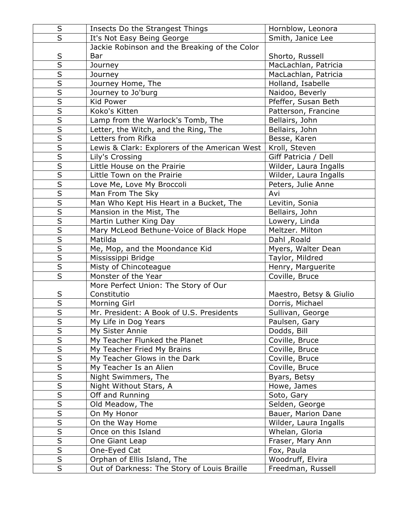| $\sf S$                                            | Insects Do the Strangest Things               | Hornblow, Leonora              |
|----------------------------------------------------|-----------------------------------------------|--------------------------------|
| $\overline{\mathsf{s}}$                            | It's Not Easy Being George                    | Smith, Janice Lee              |
|                                                    | Jackie Robinson and the Breaking of the Color |                                |
| $\sf S$                                            | Bar                                           | Shorto, Russell                |
| $\overline{s}$                                     | Journey                                       | MacLachlan, Patricia           |
|                                                    | Journey                                       | MacLachlan, Patricia           |
| $\overline{\mathsf{s}}$                            | Journey Home, The                             | Holland, Isabelle              |
| $\overline{\mathsf{s}}$                            | Journey to Jo'burg                            | Naidoo, Beverly                |
| $\overline{\mathsf{s}}$                            | Kid Power                                     | Pfeffer, Susan Beth            |
| $\overline{\mathsf{s}}$                            | Koko's Kitten                                 | Patterson, Francine            |
| $\overline{\mathsf{s}}$                            | Lamp from the Warlock's Tomb, The             | Bellairs, John                 |
| $\overline{\mathsf{s}}$                            | Letter, the Witch, and the Ring, The          | Bellairs, John                 |
| $\overline{\mathsf{s}}$                            | Letters from Rifka                            | Besse, Karen                   |
| $\overline{\mathsf{s}}$                            | Lewis & Clark: Explorers of the American West | Kroll, Steven                  |
| $\overline{\mathsf{s}}$                            | Lily's Crossing                               | Giff Patricia / Dell           |
| $\overline{\mathsf{s}}$                            | Little House on the Prairie                   | Wilder, Laura Ingalls          |
| $\overline{\mathsf{s}}$                            | Little Town on the Prairie                    | Wilder, Laura Ingalls          |
| $\overline{\mathsf{s}}$                            | Love Me, Love My Broccoli                     | Peters, Julie Anne             |
| $\overline{\mathsf{s}}$                            | Man From The Sky                              | Avi                            |
| $\overline{\mathsf{s}}$                            | Man Who Kept His Heart in a Bucket, The       | Levitin, Sonia                 |
| $\overline{\mathsf{S}}$                            | Mansion in the Mist, The                      | Bellairs, John                 |
| $\overline{\mathsf{s}}$                            | Martin Luther King Day                        | Lowery, Linda                  |
| $\overline{\mathsf{S}}$                            | Mary McLeod Bethune-Voice of Black Hope       | Meltzer. Milton                |
| $\overline{\mathsf{s}}$                            | Matilda                                       | Dahl, Roald                    |
| $\overline{\mathsf{s}}$                            | Me, Mop, and the Moondance Kid                | Myers, Walter Dean             |
| $\overline{\mathsf{s}}$                            | Mississippi Bridge                            | Taylor, Mildred                |
| $\overline{\mathsf{s}}$                            | Misty of Chincoteague                         | Henry, Marguerite              |
| $\overline{\mathsf{S}}$                            | Monster of the Year                           | Coville, Bruce                 |
|                                                    | More Perfect Union: The Story of Our          |                                |
| $rac{S}{S}$                                        | Constitutio                                   | Maestro, Betsy & Giulio        |
|                                                    | Morning Girl                                  | Dorris, Michael                |
| $\overline{\mathsf{s}}$                            | Mr. President: A Book of U.S. Presidents      | Sullivan, George               |
| $\overline{\mathsf{S}}$                            | My Life in Dog Years                          | Paulsen, Gary                  |
| $\overline{\mathsf{s}}$                            | My Sister Annie                               | Dodds, Bill                    |
| $\overline{\mathsf{S}}$<br>$\overline{\mathsf{S}}$ | My Teacher Flunked the Planet                 | Coville, Bruce                 |
|                                                    | My Teacher Fried My Brains                    | Coville, Bruce                 |
| $rac{S}{S}$                                        | My Teacher Glows in the Dark                  | Coville, Bruce                 |
| $\overline{\mathsf{s}}$                            | My Teacher Is an Alien                        | Coville, Bruce                 |
| $\overline{\mathsf{S}}$                            | Night Swimmers, The                           | Byars, Betsy                   |
| $\overline{\mathsf{S}}$                            | Night Without Stars, A<br>Off and Running     | Howe, James                    |
| $\overline{\mathsf{s}}$                            |                                               | Soto, Gary                     |
| $\overline{\mathsf{s}}$                            | Old Meadow, The                               | Selden, George                 |
| $\overline{\mathsf{S}}$                            | On My Honor                                   | Bauer, Marion Dane             |
| $\overline{\mathsf{s}}$                            | On the Way Home                               | Wilder, Laura Ingalls          |
| $\overline{\mathsf{s}}$                            | Once on this Island                           | Whelan, Gloria                 |
| $\overline{\mathsf{S}}$                            | One Giant Leap                                | Fraser, Mary Ann               |
| $\overline{\mathsf{s}}$                            | One-Eyed Cat                                  | Fox, Paula<br>Woodruff, Elvira |
| $\overline{S}$                                     | Orphan of Ellis Island, The                   |                                |
|                                                    | Out of Darkness: The Story of Louis Braille   | Freedman, Russell              |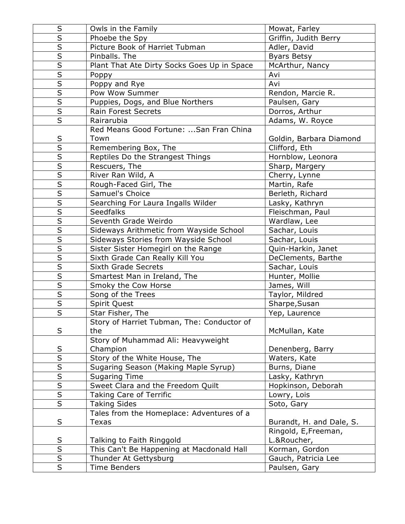| S                       | Owls in the Family                          | Mowat, Farley            |
|-------------------------|---------------------------------------------|--------------------------|
| $\overline{\mathsf{s}}$ | Phoebe the Spy                              | Griffin, Judith Berry    |
| $\overline{\mathsf{s}}$ | Picture Book of Harriet Tubman              | Adler, David             |
| $\overline{\mathsf{s}}$ | Pinballs. The                               | <b>Byars Betsy</b>       |
| $\overline{\mathsf{S}}$ | Plant That Ate Dirty Socks Goes Up in Space | McArthur, Nancy          |
| $\overline{\mathsf{s}}$ | Poppy                                       | Avi                      |
| $\overline{\mathsf{s}}$ | Poppy and Rye                               | Avi                      |
| $\overline{\mathsf{s}}$ | Pow Wow Summer                              | Rendon, Marcie R.        |
|                         | Puppies, Dogs, and Blue Northers            | Paulsen, Gary            |
| $\overline{\mathsf{s}}$ | Rain Forest Secrets                         | Dorros, Arthur           |
| $\overline{\mathsf{s}}$ | Rairarubia                                  | Adams, W. Royce          |
|                         | Red Means Good Fortune:  San Fran China     |                          |
| S                       | Town                                        | Goldin, Barbara Diamond  |
| $\overline{\mathsf{s}}$ | Remembering Box, The                        | Clifford, Eth            |
| $\overline{\mathsf{s}}$ | Reptiles Do the Strangest Things            | Hornblow, Leonora        |
| $\overline{\mathsf{s}}$ | Rescuers, The                               | Sharp, Margery           |
| $\overline{\mathsf{s}}$ | River Ran Wild, A                           | Cherry, Lynne            |
| $\overline{\mathsf{s}}$ | Rough-Faced Girl, The                       | Martin, Rafe             |
| $\overline{\mathsf{s}}$ | Samuel's Choice                             | Berleth, Richard         |
| $\overline{\mathsf{s}}$ | Searching For Laura Ingalls Wilder          | Lasky, Kathryn           |
| $\overline{\mathsf{S}}$ | <b>Seedfalks</b>                            | Fleischman, Paul         |
| $\overline{\mathsf{s}}$ | Seventh Grade Weirdo                        | Wardlaw, Lee             |
| $\overline{\mathsf{s}}$ | Sideways Arithmetic from Wayside School     | Sachar, Louis            |
| $\overline{\mathsf{s}}$ | Sideways Stories from Wayside School        | Sachar, Louis            |
| $\overline{\mathsf{S}}$ | Sister Sister Homegirl on the Range         | Quin-Harkin, Janet       |
| $\overline{\mathsf{S}}$ | Sixth Grade Can Really Kill You             | DeClements, Barthe       |
| $\overline{\mathsf{s}}$ | Sixth Grade Secrets                         | Sachar, Louis            |
| $rac{S}{S}$             | Smartest Man in Ireland, The                | Hunter, Mollie           |
|                         | Smoky the Cow Horse                         | James, Will              |
| $\overline{\mathsf{S}}$ | Song of the Trees                           | Taylor, Mildred          |
| $\overline{\mathsf{s}}$ | Spirit Quest                                | Sharpe, Susan            |
| $\overline{\mathsf{s}}$ | Star Fisher, The                            | Yep, Laurence            |
|                         | Story of Harriet Tubman, The: Conductor of  |                          |
| S                       | the                                         | McMullan, Kate           |
|                         | Story of Muhammad Ali: Heavyweight          |                          |
| S                       | Champion                                    | Denenberg, Barry         |
| $\overline{\mathsf{s}}$ | Story of the White House, The               | Waters, Kate             |
| $rac{\overline{S}}{S}$  | Sugaring Season (Making Maple Syrup)        | Burns, Diane             |
|                         | <b>Sugaring Time</b>                        | Lasky, Kathryn           |
| $\overline{\mathsf{S}}$ | Sweet Clara and the Freedom Quilt           | Hopkinson, Deborah       |
| $\overline{\mathsf{S}}$ | Taking Care of Terrific                     | Lowry, Lois              |
|                         | <b>Taking Sides</b>                         | Soto, Gary               |
|                         | Tales from the Homeplace: Adventures of a   |                          |
| S                       | <b>Texas</b>                                | Burandt, H. and Dale, S. |
|                         |                                             | Ringold, E, Freeman,     |
| S                       | Talking to Faith Ringgold                   | L.&Roucher,              |
| $\overline{\mathsf{S}}$ | This Can't Be Happening at Macdonald Hall   | Korman, Gordon           |
| $\overline{\mathsf{S}}$ | Thunder At Gettysburg                       | Gauch, Patricia Lee      |
| $\overline{\mathsf{s}}$ | <b>Time Benders</b>                         | Paulsen, Gary            |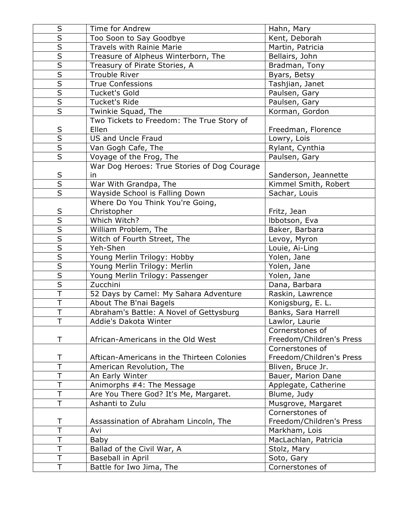| $\sf S$                 | Time for Andrew                             | Hahn, Mary               |
|-------------------------|---------------------------------------------|--------------------------|
| $\overline{S}$          | Too Soon to Say Goodbye                     | Kent, Deborah            |
| $\overline{\mathsf{s}}$ | Travels with Rainie Marie                   | Martin, Patricia         |
| $\overline{\mathsf{S}}$ | Treasure of Alpheus Winterborn, The         | Bellairs, John           |
| $\overline{\mathsf{S}}$ | Treasury of Pirate Stories, A               | Bradman, Tony            |
| $\overline{\mathsf{S}}$ | <b>Trouble River</b>                        | Byars, Betsy             |
| $\overline{\mathsf{s}}$ | <b>True Confessions</b>                     | Tashjian, Janet          |
| $\overline{\mathsf{S}}$ | <b>Tucket's Gold</b>                        | Paulsen, Gary            |
| $\overline{\mathsf{s}}$ | Tucket's Ride                               | Paulsen, Gary            |
| $\overline{\mathsf{s}}$ | Twinkie Squad, The                          | Korman, Gordon           |
|                         | Two Tickets to Freedom: The True Story of   |                          |
| $rac{S}{S}$             | Ellen                                       | Freedman, Florence       |
|                         | US and Uncle Fraud                          | Lowry, Lois              |
| $\overline{\mathsf{S}}$ | Van Gogh Cafe, The                          | Rylant, Cynthia          |
| $\overline{\mathsf{s}}$ | Voyage of the Frog, The                     | Paulsen, Gary            |
|                         | War Dog Heroes: True Stories of Dog Courage |                          |
| $rac{S}{S}$             | in                                          | Sanderson, Jeannette     |
|                         | War With Grandpa, The                       | Kimmel Smith, Robert     |
| $\overline{S}$          | Wayside School is Falling Down              | Sachar, Louis            |
|                         | Where Do You Think You're Going,            |                          |
| $rac{S}{S}$             | Christopher                                 | Fritz, Jean              |
|                         | Which Witch?                                | Ibbotson, Eva            |
| $\overline{\mathsf{s}}$ | William Problem, The                        | Baker, Barbara           |
| $\overline{\mathsf{S}}$ | Witch of Fourth Street, The                 | Levoy, Myron             |
| $\overline{\mathsf{s}}$ | Yeh-Shen                                    | Louie, Ai-Ling           |
| $\overline{\mathsf{s}}$ | Young Merlin Trilogy: Hobby                 | Yolen, Jane              |
| $\overline{\mathsf{S}}$ | Young Merlin Trilogy: Merlin                | Yolen, Jane              |
| $\overline{\mathsf{s}}$ | Young Merlin Trilogy: Passenger             | Yolen, Jane              |
| $\overline{\mathsf{S}}$ | Zucchini                                    | Dana, Barbara            |
| $\overline{\mathsf{T}}$ | 52 Days by Camel: My Sahara Adventure       | Raskin, Lawrence         |
| T                       | About The B'nai Bagels                      | Konigsburg, E. L.        |
| T                       | Abraham's Battle: A Novel of Gettysburg     | Banks, Sara Harrell      |
| $\bar{\mathsf{T}}$      | Addie's Dakota Winter                       | Lawlor, Laurie           |
|                         |                                             | Cornerstones of          |
| Τ                       | African-Americans in the Old West           | Freedom/Children's Press |
|                         |                                             | Cornerstones of          |
| T                       | Aftican-Americans in the Thirteen Colonies  | Freedom/Children's Press |
| $\overline{\top}$       | American Revolution, The                    | Bliven, Bruce Jr.        |
| Τ                       | An Early Winter                             | Bauer, Marion Dane       |
| T                       | Animorphs #4: The Message                   | Applegate, Catherine     |
| Τ                       | Are You There God? It's Me, Margaret.       | Blume, Judy              |
| T                       | Ashanti to Zulu                             | Musgrove, Margaret       |
|                         |                                             | Cornerstones of          |
| Τ                       | Assassination of Abraham Lincoln, The       | Freedom/Children's Press |
| T                       | Avi                                         | Markham, Lois            |
| T                       | Baby                                        | MacLachlan, Patricia     |
| T                       | Ballad of the Civil War, A                  | Stolz, Mary              |
| $\overline{\top}$       | Baseball in April                           | Soto, Gary               |
| T                       | Battle for Iwo Jima, The                    | Cornerstones of          |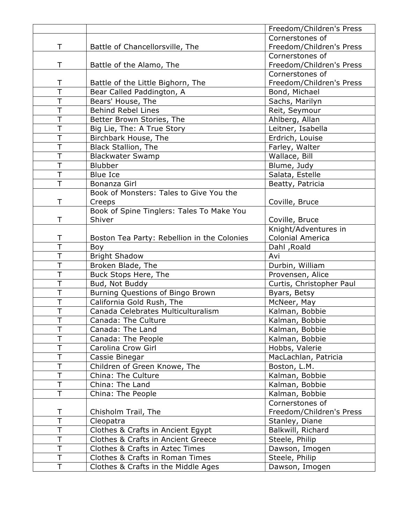|                         |                                                                        | Freedom/Children's Press         |
|-------------------------|------------------------------------------------------------------------|----------------------------------|
|                         |                                                                        | Cornerstones of                  |
| $\top$                  | Battle of Chancellorsville, The                                        | Freedom/Children's Press         |
|                         |                                                                        | Cornerstones of                  |
| T                       | Battle of the Alamo, The                                               | Freedom/Children's Press         |
|                         |                                                                        | Cornerstones of                  |
| T                       | Battle of the Little Bighorn, The                                      | Freedom/Children's Press         |
| $\overline{\top}$       | Bear Called Paddington, A                                              | Bond, Michael                    |
| $\top$                  | Bears' House, The                                                      | Sachs, Marilyn                   |
| $\top$                  | <b>Behind Rebel Lines</b>                                              | Reit, Seymour                    |
| $\top$                  | Better Brown Stories, The                                              | Ahlberg, Allan                   |
| $\top$                  | Big Lie, The: A True Story                                             | Leitner, Isabella                |
| $\top$                  | Birchbark House, The                                                   | Erdrich, Louise                  |
| T                       | <b>Black Stallion, The</b>                                             | Farley, Walter                   |
| $\top$                  | <b>Blackwater Swamp</b>                                                | Wallace, Bill                    |
| $\overline{\top}$       | <b>Blubber</b>                                                         | Blume, Judy                      |
| $\top$                  | <b>Blue Ice</b>                                                        | Salata, Estelle                  |
| $\overline{\top}$       | Bonanza Girl                                                           | Beatty, Patricia                 |
|                         | Book of Monsters: Tales to Give You the                                |                                  |
| $\top$                  | Creeps                                                                 | Coville, Bruce                   |
|                         | Book of Spine Tinglers: Tales To Make You                              |                                  |
| T                       | Shiver                                                                 | Coville, Bruce                   |
|                         |                                                                        | Knight/Adventures in             |
| Τ                       | Boston Tea Party: Rebellion in the Colonies                            | <b>Colonial America</b>          |
| $\overline{\top}$       | Boy                                                                    | Dahl, Roald                      |
| $\top$                  | <b>Bright Shadow</b>                                                   | Avi                              |
| $\top$                  | Broken Blade, The                                                      | Durbin, William                  |
| $\overline{\mathsf{T}}$ | Buck Stops Here, The                                                   | Provensen, Alice                 |
| T                       | Bud, Not Buddy                                                         | Curtis, Christopher Paul         |
| $\top$                  | Burning Questions of Bingo Brown                                       | Byars, Betsy                     |
| $\top$                  | California Gold Rush, The                                              | McNeer, May                      |
| $\top$                  | Canada Celebrates Multiculturalism                                     | Kalman, Bobbie                   |
| $\bar{T}$               | Canada: The Culture                                                    | Kalman, Bobbie                   |
| T                       | Canada: The Land                                                       | Kalman, Bobbie                   |
| $\top$                  | Canada: The People                                                     | Kalman, Bobbie                   |
| $\top$                  | Carolina Crow Girl                                                     | Hobbs, Valerie                   |
| T                       | Cassie Binegar                                                         | MacLachlan, Patricia             |
| $\top$                  | Children of Green Knowe, The                                           | Boston, L.M.                     |
| $\top$                  | China: The Culture                                                     | Kalman, Bobbie                   |
| T                       | China: The Land                                                        | Kalman, Bobbie                   |
| T                       | China: The People                                                      | Kalman, Bobbie                   |
|                         |                                                                        | Cornerstones of                  |
| Τ                       | Chisholm Trail, The                                                    | Freedom/Children's Press         |
| $\overline{\top}$       | Cleopatra                                                              | Stanley, Diane                   |
| Τ                       | Clothes & Crafts in Ancient Egypt                                      | Balkwill, Richard                |
|                         |                                                                        |                                  |
| $\top$                  | <b>Clothes &amp; Crafts in Ancient Greece</b>                          | Steele, Philip                   |
| T                       | Clothes & Crafts in Aztec Times                                        | Dawson, Imogen                   |
| $\top$<br>$\top$        | Clothes & Crafts in Roman Times<br>Clothes & Crafts in the Middle Ages | Steele, Philip<br>Dawson, Imogen |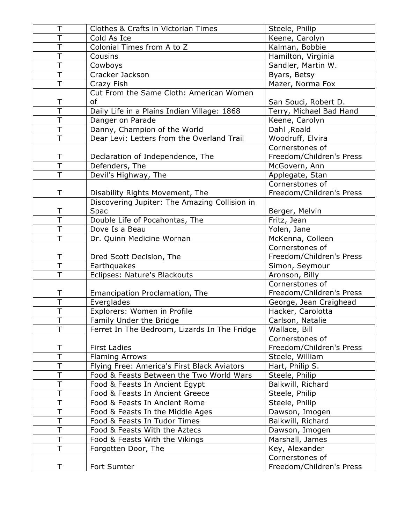| T                         | <b>Clothes &amp; Crafts in Victorian Times</b> | Steele, Philip           |
|---------------------------|------------------------------------------------|--------------------------|
| T                         | Cold As Ice                                    | Keene, Carolyn           |
| $\overline{\mathsf{T}}$   | Colonial Times from A to Z                     | Kalman, Bobbie           |
| T                         | Cousins                                        | Hamilton, Virginia       |
| $\overline{\top}$         | Cowboys                                        | Sandler, Martin W.       |
| $\overline{\top}$         | Cracker Jackson                                | Byars, Betsy             |
| $\overline{\mathsf{T}}$   | Crazy Fish                                     | Mazer, Norma Fox         |
|                           | Cut From the Same Cloth: American Women        |                          |
| Τ                         | of                                             | San Souci, Robert D.     |
| $\overline{\top}$         | Daily Life in a Plains Indian Village: 1868    | Terry, Michael Bad Hand  |
| $\overline{\top}$         | Danger on Parade                               | Keene, Carolyn           |
| $\overline{\mathsf{T}}$   | Danny, Champion of the World                   | Dahl, Roald              |
| $\overline{\mathsf{T}}$   | Dear Levi: Letters from the Overland Trail     | Woodruff, Elvira         |
|                           |                                                | Cornerstones of          |
| Τ                         | Declaration of Independence, The               | Freedom/Children's Press |
| $\overline{\overline{T}}$ | Defenders, The                                 | McGovern, Ann            |
| T                         | Devil's Highway, The                           | Applegate, Stan          |
|                           |                                                | Cornerstones of          |
| T                         | Disability Rights Movement, The                | Freedom/Children's Press |
|                           | Discovering Jupiter: The Amazing Collision in  |                          |
| Τ                         | Spac                                           | Berger, Melvin           |
| T                         | Double Life of Pocahontas, The                 | Fritz, Jean              |
| $\overline{\top}$         | Dove Is a Beau                                 | Yolen, Jane              |
| $\overline{\top}$         | Dr. Quinn Medicine Wornan                      | McKenna, Colleen         |
|                           |                                                | Cornerstones of          |
| $\top$                    | Dred Scott Decision, The                       | Freedom/Children's Press |
| $\overline{\top}$         | Earthquakes                                    | Simon, Seymour           |
| $\overline{\top}$         | Eclipses: Nature's Blackouts                   | Aronson, Billy           |
|                           |                                                | Cornerstones of          |
| Τ                         | Emancipation Proclamation, The                 | Freedom/Children's Press |
| $\overline{\top}$         | Everglades                                     | George, Jean Craighead   |
| T                         | Explorers: Women in Profile                    | Hacker, Carolotta        |
| $\overline{\mathsf{T}}$   | Family Under the Bridge                        | Carlson, Natalie         |
| T                         | Ferret In The Bedroom, Lizards In The Fridge   | Wallace, Bill            |
|                           |                                                | Cornerstones of          |
| Τ                         | <b>First Ladies</b>                            | Freedom/Children's Press |
| $\overline{\top}$         | <b>Flaming Arrows</b>                          | Steele, William          |
| T                         | Flying Free: America's First Black Aviators    | Hart, Philip S.          |
| T                         | Food & Feasts Between the Two World Wars       | Steele, Philip           |
| T                         | Food & Feasts In Ancient Egypt                 | Balkwill, Richard        |
| T                         | Food & Feasts In Ancient Greece                | Steele, Philip           |
| Τ                         | Food & Feasts In Ancient Rome                  | Steele, Philip           |
| $\overline{\top}$         | Food & Feasts In the Middle Ages               | Dawson, Imogen           |
| T                         | Food & Feasts In Tudor Times                   | Balkwill, Richard        |
| T                         | Food & Feasts With the Aztecs                  | Dawson, Imogen           |
| Τ                         | Food & Feasts With the Vikings                 | Marshall, James          |
| T                         | Forgotten Door, The                            | Key, Alexander           |
|                           |                                                | Cornerstones of          |
| Τ                         | Fort Sumter                                    | Freedom/Children's Press |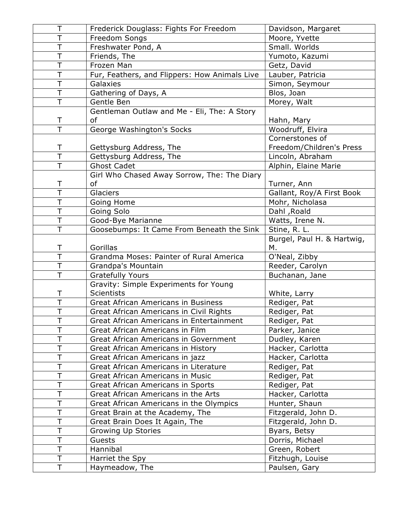| Τ                       | Frederick Douglass: Fights For Freedom        | Davidson, Margaret                |
|-------------------------|-----------------------------------------------|-----------------------------------|
| T                       | Freedom Songs                                 | Moore, Yvette                     |
| $\overline{\top}$       | Freshwater Pond, A                            | Small. Worlds                     |
| T                       | Friends, The                                  | Yumoto, Kazumi                    |
| $\overline{\top}$       | Frozen Man                                    | Getz, David                       |
| T                       | Fur, Feathers, and Flippers: How Animals Live | Lauber, Patricia                  |
| $\overline{\top}$       | Galaxies                                      | Simon, Seymour                    |
| $\overline{\mathsf{T}}$ | Gathering of Days, A                          | Blos, Joan                        |
| $\overline{\top}$       | Gentle Ben                                    | Morey, Walt                       |
|                         | Gentleman Outlaw and Me - Eli, The: A Story   |                                   |
| Τ                       | of                                            | Hahn, Mary                        |
| $\overline{\top}$       | George Washington's Socks                     | Woodruff, Elvira                  |
|                         |                                               | Cornerstones of                   |
| Τ                       | Gettysburg Address, The                       | Freedom/Children's Press          |
| $\overline{\top}$       | Gettysburg Address, The                       | Lincoln, Abraham                  |
| T                       | <b>Ghost Cadet</b>                            | Alphin, Elaine Marie              |
|                         | Girl Who Chased Away Sorrow, The: The Diary   |                                   |
| Τ                       | of                                            | Turner, Ann                       |
| $\overline{\top}$       | Glaciers                                      | Gallant, Roy/A First Book         |
| T                       | Going Home                                    | Mohr, Nicholasa                   |
| T                       | Going Solo                                    | Dahl, Roald                       |
| T                       | Good-Bye Marianne                             | Watts, Irene N.                   |
| $\overline{\top}$       | Goosebumps: It Came From Beneath the Sink     | Stine, R. L.                      |
|                         |                                               | Burgel, Paul H. & Hartwig,        |
| Τ                       | Gorillas                                      | М.                                |
| $\overline{\top}$       | Grandma Moses: Painter of Rural America       | O'Neal, Zibby                     |
| $\overline{\top}$       | Grandpa's Mountain                            | Reeder, Carolyn                   |
| T                       | <b>Gratefully Yours</b>                       | Buchanan, Jane                    |
|                         | Gravity: Simple Experiments for Young         |                                   |
| Τ                       | <b>Scientists</b>                             | White, Larry                      |
| $\overline{\top}$       | <b>Great African Americans in Business</b>    | Rediger, Pat                      |
| $\overline{\top}$       | Great African Americans in Civil Rights       | Rediger, Pat                      |
| T                       | Great African Americans in Entertainment      | Rediger, Pat                      |
| T                       | Great African Americans in Film               | Parker, Janice                    |
| T                       |                                               |                                   |
| Τ                       | Great African Americans in Government         | Dudley, Karen                     |
|                         | Great African Americans in History            | Hacker, Carlotta                  |
| T                       | Great African Americans in jazz               | Hacker, Carlotta                  |
| T                       | Great African Americans in Literature         | Rediger, Pat                      |
| T                       | Great African Americans in Music              | Rediger, Pat                      |
| T                       | Great African Americans in Sports             | Rediger, Pat                      |
| Τ                       | Great African Americans in the Arts           | Hacker, Carlotta                  |
| Τ                       | Great African Americans in the Olympics       | Hunter, Shaun                     |
| T                       | Great Brain at the Academy, The               | Fitzgerald, John D.               |
| T                       | Great Brain Does It Again, The                | Fitzgerald, John D.               |
| Т                       | Growing Up Stories                            | Byars, Betsy                      |
| T                       | Guests                                        | Dorris, Michael                   |
| Τ                       | Hannibal                                      | Green, Robert                     |
| T<br>T                  | Harriet the Spy<br>Haymeadow, The             | Fitzhugh, Louise<br>Paulsen, Gary |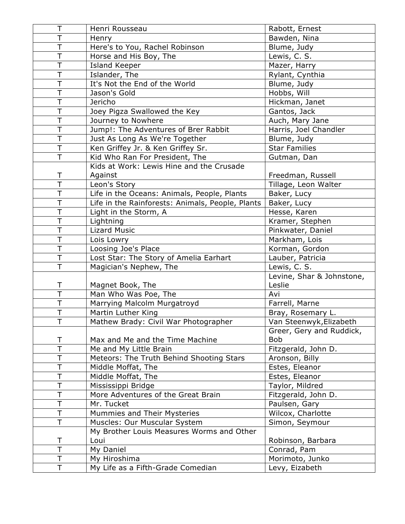| Τ                       | Henri Rousseau                                   | Rabott, Ernest            |
|-------------------------|--------------------------------------------------|---------------------------|
| Ť                       | Henry                                            | Bawden, Nina              |
| T                       | Here's to You, Rachel Robinson                   | Blume, Judy               |
| T                       | Horse and His Boy, The                           | Lewis, C. S.              |
| $\overline{\top}$       | Island Keeper                                    | Mazer, Harry              |
| T                       | Islander, The                                    | Rylant, Cynthia           |
| $\overline{\top}$       | It's Not the End of the World                    | Blume, Judy               |
| T                       | Jason's Gold                                     | Hobbs, Will               |
| $\overline{\top}$       | Jericho                                          | Hickman, Janet            |
| $\overline{\mathsf{T}}$ | Joey Pigza Swallowed the Key                     | Gantos, Jack              |
| $\overline{\top}$       | Journey to Nowhere                               | Auch, Mary Jane           |
| T                       | Jump!: The Adventures of Brer Rabbit             | Harris, Joel Chandler     |
| $\overline{\top}$       | Just As Long As We're Together                   | Blume, Judy               |
| T                       | Ken Griffey Jr. & Ken Griffey Sr.                | <b>Star Families</b>      |
| $\overline{\top}$       | Kid Who Ran For President, The                   | Gutman, Dan               |
|                         | Kids at Work: Lewis Hine and the Crusade         |                           |
| T                       | Against                                          | Freedman, Russell         |
| T                       | Leon's Story                                     | Tillage, Leon Walter      |
| T                       | Life in the Oceans: Animals, People, Plants      | Baker, Lucy               |
| $\overline{\top}$       | Life in the Rainforests: Animals, People, Plants | Baker, Lucy               |
| T                       | Light in the Storm, A                            | Hesse, Karen              |
| T                       | Lightning                                        | Kramer, Stephen           |
| $\overline{\top}$       | <b>Lizard Music</b>                              | Pinkwater, Daniel         |
| T                       | Lois Lowry                                       | Markham, Lois             |
| T                       | Loosing Joe's Place                              | Korman, Gordon            |
| $\overline{\top}$       | Lost Star: The Story of Amelia Earhart           | Lauber, Patricia          |
| T                       | Magician's Nephew, The                           | Lewis, C. S.              |
|                         |                                                  | Levine, Shar & Johnstone, |
| Τ                       | Magnet Book, The                                 | Leslie                    |
| $\overline{\top}$       | Man Who Was Poe, The                             | Avi                       |
| T                       | Marrying Malcolm Murgatroyd                      | Farrell, Marne            |
| $\overline{\top}$       | Martin Luther King                               | Bray, Rosemary L.         |
| T                       | Mathew Brady: Civil War Photographer             | Van Steenwyk, Elizabeth   |
|                         |                                                  | Greer, Gery and Ruddick,  |
| Τ                       | Max and Me and the Time Machine                  | <b>Bob</b>                |
| $\top$                  | Me and My Little Brain                           | Fitzgerald, John D.       |
| T                       | Meteors: The Truth Behind Shooting Stars         | Aronson, Billy            |
| T                       | Middle Moffat, The                               | Estes, Eleanor            |
| T                       | Middle Moffat, The                               | Estes, Eleanor            |
| T                       | Mississippi Bridge                               | Taylor, Mildred           |
| Τ                       | More Adventures of the Great Brain               | Fitzgerald, John D.       |
| T                       | Mr. Tucket                                       | Paulsen, Gary             |
| $\overline{\top}$       | Mummies and Their Mysteries                      | Wilcox, Charlotte         |
| T                       | Muscles: Our Muscular System                     | Simon, Seymour            |
|                         | My Brother Louis Measures Worms and Other        |                           |
| Τ                       | Loui                                             | Robinson, Barbara         |
| T                       | My Daniel                                        | Conrad, Pam               |
| T                       | My Hiroshima                                     | Morimoto, Junko           |
| T                       | My Life as a Fifth-Grade Comedian                | Levy, Eizabeth            |
|                         |                                                  |                           |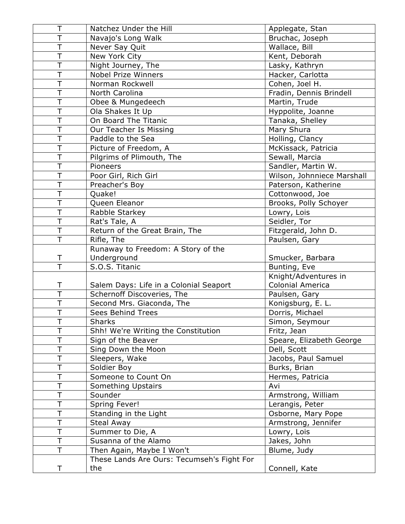| Τ                       | Natchez Under the Hill                            | Applegate, Stan            |
|-------------------------|---------------------------------------------------|----------------------------|
| T                       | Navajo's Long Walk                                | Bruchac, Joseph            |
| T                       | Never Say Quit                                    | Wallace, Bill              |
| $\overline{\top}$       | New York City                                     | Kent, Deborah              |
| $\top$                  | Night Journey, The                                | Lasky, Kathryn             |
| $\top$                  | <b>Nobel Prize Winners</b>                        | Hacker, Carlotta           |
| $\top$                  | Norman Rockwell                                   | Cohen, Joel H.             |
| $\overline{\top}$       | North Carolina                                    | Fradin, Dennis Brindell    |
| T                       | Obee & Mungedeech                                 | Martin, Trude              |
| $\overline{\top}$       | Ola Shakes It Up                                  | Hyppolite, Joanne          |
| T                       | On Board The Titanic                              | Tanaka, Shelley            |
| T                       | Our Teacher Is Missing                            | Mary Shura                 |
| $\top$                  | Paddle to the Sea                                 | Holling, Clancy            |
| $\overline{\top}$       | Picture of Freedom, A                             | McKissack, Patricia        |
| T                       | Pilgrims of Plimouth, The                         | Sewall, Marcia             |
| $\overline{\top}$       | Pioneers                                          | Sandler, Martin W.         |
| T                       | Poor Girl, Rich Girl                              | Wilson, Johnniece Marshall |
| $\overline{\top}$       | Preacher's Boy                                    | Paterson, Katherine        |
| $\top$                  | Quake!                                            | Cottonwood, Joe            |
| $\overline{\top}$       | Queen Eleanor                                     | Brooks, Polly Schoyer      |
| $\overline{\top}$       | Rabble Starkey                                    | Lowry, Lois                |
| $\mathsf T$             | Rat's Tale, A                                     | Seidler, Tor               |
| T                       | Return of the Great Brain, The                    | Fitzgerald, John D.        |
| $\overline{\mathsf{T}}$ | Rifle, The                                        | Paulsen, Gary              |
|                         | Runaway to Freedom: A Story of the                |                            |
|                         | Underground                                       | Smucker, Barbara           |
| T                       |                                                   |                            |
| T                       | S.O.S. Titanic                                    | Bunting, Eve               |
|                         |                                                   | Knight/Adventures in       |
| Τ                       | Salem Days: Life in a Colonial Seaport            | <b>Colonial America</b>    |
| T                       | Schernoff Discoveries, The                        | Paulsen, Gary              |
| $\overline{\top}$       | Second Mrs. Giaconda, The                         | Konigsburg, E. L.          |
| T                       | <b>Sees Behind Trees</b>                          | Dorris, Michael            |
| $\bar{T}$               | Sharks                                            | Simon, Seymour             |
| T                       | Shh! We're Writing the Constitution               | Fritz, Jean                |
| Τ                       | Sign of the Beaver                                | Speare, Elizabeth George   |
| T                       | Sing Down the Moon                                | Dell, Scott                |
| T                       | Sleepers, Wake                                    | Jacobs, Paul Samuel        |
| Т                       | Soldier Boy                                       | Burks, Brian               |
| T                       | Someone to Count On                               | Hermes, Patricia           |
| T                       | Something Upstairs                                | Avi                        |
| T                       | Sounder                                           | Armstrong, William         |
| Τ                       | Spring Fever!                                     | Lerangis, Peter            |
| T                       | Standing in the Light                             | Osborne, Mary Pope         |
| Τ                       | Steal Away                                        | Armstrong, Jennifer        |
| Τ                       | Summer to Die, A                                  | Lowry, Lois                |
| T                       | Susanna of the Alamo                              | Jakes, John                |
| T                       | Then Again, Maybe I Won't                         | Blume, Judy                |
| T                       | These Lands Are Ours: Tecumseh's Fight For<br>the | Connell, Kate              |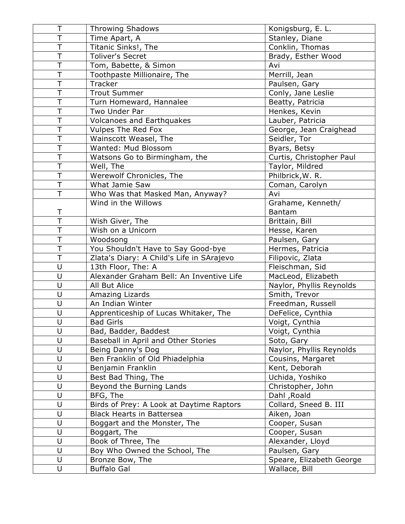| Τ                       | <b>Throwing Shadows</b>                   | Konigsburg, E. L.        |
|-------------------------|-------------------------------------------|--------------------------|
| $\overline{\mathsf{T}}$ | Time Apart, A                             | Stanley, Diane           |
| T                       | Titanic Sinks!, The                       | Conklin, Thomas          |
| $\overline{\top}$       | Toliver's Secret                          | Brady, Esther Wood       |
| T                       | Tom, Babette, & Simon                     | Avi                      |
| T                       | Toothpaste Millionaire, The               | Merrill, Jean            |
| T                       | Tracker                                   | Paulsen, Gary            |
| $\overline{\mathsf{T}}$ | <b>Trout Summer</b>                       | Conly, Jane Leslie       |
| T                       | Turn Homeward, Hannalee                   | Beatty, Patricia         |
| $\overline{\top}$       | Two Under Par                             | Henkes, Kevin            |
| T                       | <b>Volcanoes and Earthquakes</b>          | Lauber, Patricia         |
| T                       | <b>Vulpes The Red Fox</b>                 | George, Jean Craighead   |
| T                       | Wainscott Weasel, The                     | Seidler, Tor             |
| $\overline{\top}$       | Wanted: Mud Blossom                       | Byars, Betsy             |
| $\overline{\mathsf{T}}$ | Watsons Go to Birmingham, the             | Curtis, Christopher Paul |
| $\overline{\top}$       | Well, The                                 | Taylor, Mildred          |
| T                       | Werewolf Chronicles, The                  | Philbrick, W. R.         |
| $\overline{\mathsf{T}}$ | What Jamie Saw                            | Coman, Carolyn           |
| T                       | Who Was that Masked Man, Anyway?          | Avi                      |
|                         | Wind in the Willows                       | Grahame, Kenneth/        |
| Τ                       |                                           | <b>Bantam</b>            |
| $\overline{\top}$       | Wish Giver, The                           | Brittain, Bill           |
| T                       | Wish on a Unicorn                         | Hesse, Karen             |
| T                       | Woodsong                                  | Paulsen, Gary            |
| $\overline{\top}$       | You Shouldn't Have to Say Good-bye        | Hermes, Patricia         |
| T                       | Zlata's Diary: A Child's Life in SArajevo | Filipovic, Zlata         |
| U                       | 13th Floor, The: A                        | Fleischman, Sid          |
| U                       | Alexander Graham Bell: An Inventive Life  | MacLeod, Elizabeth       |
| $\sf U$                 | All But Alice                             | Naylor, Phyllis Reynolds |
| U                       | Amazing Lizards                           | Smith, Trevor            |
| $\sf U$                 | An Indian Winter                          | Freedman, Russell        |
| $\sf U$                 | Apprenticeship of Lucas Whitaker, The     | DeFelice, Cynthia        |
| U                       | <b>Bad Girls</b>                          | Voigt, Cynthia           |
| $\cup$                  | Bad, Badder, Baddest                      | Voigt, Cynthia           |
| U                       | Baseball in April and Other Stories       | Soto, Gary               |
| U                       | Being Danny's Dog                         | Naylor, Phyllis Reynolds |
| U                       | Ben Franklin of Old Phiadelphia           | Cousins, Margaret        |
| $\cup$                  | Benjamin Franklin                         | Kent, Deborah            |
| U                       | Best Bad Thing, The                       | Uchida, Yoshiko          |
| U<br>U                  | Beyond the Burning Lands                  | Christopher, John        |
|                         | BFG, The                                  | Dahl, Roald              |
| $\sf U$                 | Birds of Prey: A Look at Daytime Raptors  | Collard, Sneed B. III    |
| U<br>U                  | <b>Black Hearts in Battersea</b>          | Aiken, Joan              |
|                         | Boggart and the Monster, The              | Cooper, Susan            |
| $\sf U$                 | Boggart, The                              | Cooper, Susan            |
| U                       | Book of Three, The                        | Alexander, Lloyd         |
| $\sf U$                 | Boy Who Owned the School, The             | Paulsen, Gary            |
| U                       | Bronze Bow, The                           | Speare, Elizabeth George |
| U                       | <b>Buffalo Gal</b>                        | Wallace, Bill            |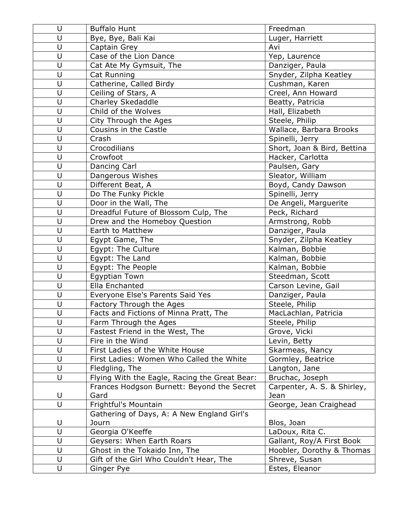| $\sf U$     | <b>Buffalo Hunt</b>                           | Freedman                    |
|-------------|-----------------------------------------------|-----------------------------|
| U           | Bye, Bye, Bali Kai                            | Luger, Harriett             |
| U           | Captain Grey                                  | Avi                         |
| U           | Case of the Lion Dance                        | Yep, Laurence               |
| $\cup$      | Cat Ate My Gymsuit, The                       | Danziger, Paula             |
| $\sf U$     | Cat Running                                   | Snyder, Zilpha Keatley      |
| $\cup$      | Catherine, Called Birdy                       | Cushman, Karen              |
| U           | Ceiling of Stars, A                           | Creel, Ann Howard           |
| U           | Charley Skedaddle                             | Beatty, Patricia            |
| U           | Child of the Wolves                           | Hall, Elizabeth             |
| U           | City Through the Ages                         | Steele, Philip              |
| U           | Cousins in the Castle                         | Wallace, Barbara Brooks     |
| U           | Crash                                         | Spinelli, Jerry             |
| U           | Crocodilians                                  | Short, Joan & Bird, Bettina |
| $\cup$      | Crowfoot                                      | Hacker, Carlotta            |
| U           | Dancing Carl                                  | Paulsen, Gary               |
| U           | Dangerous Wishes                              | Sleator, William            |
| U           | Different Beat, A                             | Boyd, Candy Dawson          |
| U           | Do The Funky Pickle                           | Spinelli, Jerry             |
| U           | Door in the Wall, The                         | De Angeli, Marguerite       |
| U           | Dreadful Future of Blossom Culp, The          | Peck, Richard               |
| $\sf U$     | Drew and the Homeboy Question                 | Armstrong, Robb             |
| U           | Earth to Matthew                              | Danziger, Paula             |
| $\sf U$     | Egypt Game, The                               | Snyder, Zilpha Keatley      |
| U           | Egypt: The Culture                            | Kalman, Bobbie              |
| U           | Egypt: The Land                               | Kalman, Bobbie              |
| U           | Egypt: The People                             | Kalman, Bobbie              |
| U           | Egyptian Town                                 | Steedman, Scott             |
| U           | Ella Enchanted                                | Carson Levine, Gail         |
| U           | Everyone Else's Parents Said Yes              | Danziger, Paula             |
| U           | Factory Through the Ages                      | Steele, Philip              |
| U           | Facts and Fictions of Minna Pratt, The        | MacLachlan, Patricia        |
| U           | Farm Through the Ages                         | Steele, Philip              |
| U           | Fastest Friend in the West, The               | Grove, Vicki                |
| U           | Fire in the Wind                              | Levin, Betty                |
| U           | First Ladies of the White House               | Skarmeas, Nancy             |
| $\mathsf U$ | First Ladies: Women Who Called the White      | Gormley, Beatrice           |
| U           | Fledgling, The                                | Langton, Jane               |
| U           | Flying With the Eagle, Racing the Great Bear: | Bruchac, Joseph             |
|             | Frances Hodgson Burnett: Beyond the Secret    | Carpenter, A. S. & Shirley, |
| U           | Gard                                          | Jean                        |
| $\cup$      | Frightful's Mountain                          | George, Jean Craighead      |
|             | Gathering of Days, A: A New England Girl's    |                             |
| U           | Journ                                         | Blos, Joan                  |
| U           | Georgia O'Keeffe                              | LaDoux, Rita C.             |
| U           | Geysers: When Earth Roars                     | Gallant, Roy/A First Book   |
| $\sf U$     | Ghost in the Tokaido Inn, The                 | Hoobler, Dorothy & Thomas   |
| $\mathsf U$ | Gift of the Girl Who Couldn't Hear, The       | Shreve, Susan               |
| U           | Ginger Pye                                    | Estes, Eleanor              |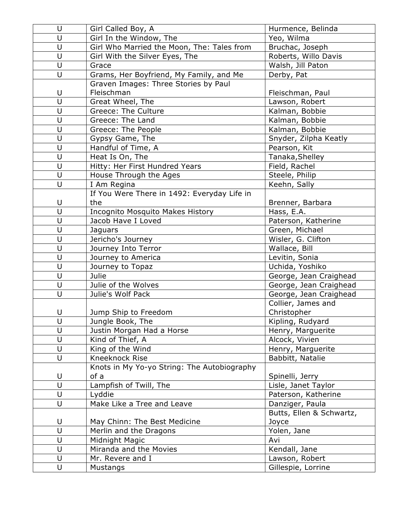| U           | Girl Called Boy, A                          | Hurmence, Belinda        |
|-------------|---------------------------------------------|--------------------------|
| U           | Girl In the Window, The                     | Yeo, Wilma               |
| U           | Girl Who Married the Moon, The: Tales from  | Bruchac, Joseph          |
| $\cup$      | Girl With the Silver Eyes, The              | Roberts, Willo Davis     |
| U           | Grace                                       | Walsh, Jill Paton        |
| U           | Grams, Her Boyfriend, My Family, and Me     | Derby, Pat               |
|             | Graven Images: Three Stories by Paul        |                          |
| U           | Fleischman                                  | Fleischman, Paul         |
| U           | Great Wheel, The                            | Lawson, Robert           |
| U           | Greece: The Culture                         | Kalman, Bobbie           |
| U           | Greece: The Land                            | Kalman, Bobbie           |
| U           | Greece: The People                          | Kalman, Bobbie           |
| U           | Gypsy Game, The                             | Snyder, Zilpha Keatly    |
| U           | Handful of Time, A                          | Pearson, Kit             |
| U           | Heat Is On, The                             | Tanaka, Shelley          |
| U           | Hitty: Her First Hundred Years              | Field, Rachel            |
| U           | House Through the Ages                      | Steele, Philip           |
| $\cup$      | I Am Regina                                 | Keehn, Sally             |
|             | If You Were There in 1492: Everyday Life in |                          |
| U           | the                                         | Brenner, Barbara         |
| U           | Incognito Mosquito Makes History            | Hass, E.A.               |
| U           | Jacob Have I Loved                          | Paterson, Katherine      |
| U           | Jaguars                                     | Green, Michael           |
| U           | Jericho's Journey                           | Wisler, G. Clifton       |
| U           | Journey Into Terror                         | Wallace, Bill            |
| U           | Journey to America                          | Levitin, Sonia           |
| U           | Journey to Topaz                            | Uchida, Yoshiko          |
| U           | Julie                                       | George, Jean Craighead   |
| U           | Julie of the Wolves                         | George, Jean Craighead   |
| U           | Julie's Wolf Pack                           | George, Jean Craighead   |
|             |                                             | Collier, James and       |
| $\sf U$     | Jump Ship to Freedom                        | Christopher              |
| U           | Jungle Book, The                            | Kipling, Rudyard         |
| U           | Justin Morgan Had a Horse                   | Henry, Marguerite        |
| U           | Kind of Thief, A                            | Alcock, Vivien           |
| U           | King of the Wind                            | Henry, Marguerite        |
| $\cup$      | Kneeknock Rise                              | Babbitt, Natalie         |
|             | Knots in My Yo-yo String: The Autobiography |                          |
| U           | of a                                        | Spinelli, Jerry          |
| U           | Lampfish of Twill, The                      | Lisle, Janet Taylor      |
| U           | Lyddie                                      | Paterson, Katherine      |
| $\cup$      | Make Like a Tree and Leave                  | Danziger, Paula          |
|             |                                             | Butts, Ellen & Schwartz, |
| U           | May Chinn: The Best Medicine                | Joyce                    |
| U           | Merlin and the Dragons                      | Yolen, Jane              |
| U           | Midnight Magic                              | Avi                      |
| U           | Miranda and the Movies                      | Kendall, Jane            |
| $\mathsf U$ | Mr. Revere and I                            | Lawson, Robert           |
| U           | Mustangs                                    | Gillespie, Lorrine       |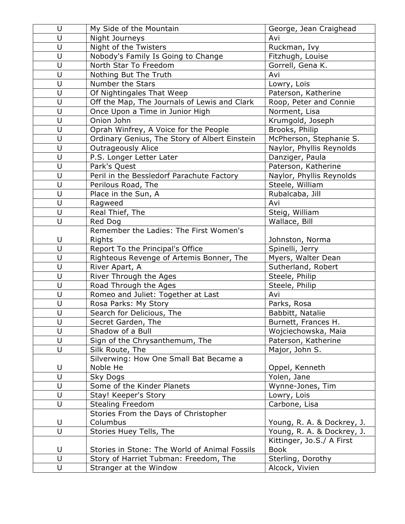| U           | My Side of the Mountain                       | George, Jean Craighead     |
|-------------|-----------------------------------------------|----------------------------|
| U           | Night Journeys                                | Avi                        |
| U           | Night of the Twisters                         | Ruckman, Ivy               |
| U           | Nobody's Family Is Going to Change            | Fitzhugh, Louise           |
| U           | North Star To Freedom                         | Gorrell, Gena K.           |
| U           | Nothing But The Truth                         | Avi                        |
| U           | Number the Stars                              | Lowry, Lois                |
| U           | Of Nightingales That Weep                     | Paterson, Katherine        |
| U           | Off the Map, The Journals of Lewis and Clark  | Roop, Peter and Connie     |
| U           | Once Upon a Time in Junior High               | Norment, Lisa              |
| U           | Onion John                                    | Krumgold, Joseph           |
| U           | Oprah Winfrey, A Voice for the People         | Brooks, Philip             |
| U           | Ordinary Genius, The Story of Albert Einstein | McPherson, Stephanie S.    |
| U           | Outrageously Alice                            | Naylor, Phyllis Reynolds   |
| U           | P.S. Longer Letter Later                      | Danziger, Paula            |
| U           | Park's Quest                                  | Paterson, Katherine        |
| U           | Peril in the Bessledorf Parachute Factory     | Naylor, Phyllis Reynolds   |
| U           | Perilous Road, The                            | Steele, William            |
| U           | Place in the Sun, A                           | Rubalcaba, Jill            |
| U           | Ragweed                                       | Avi                        |
| U           | Real Thief, The                               | Steig, William             |
| U           | Red Dog                                       | Wallace, Bill              |
|             | Remember the Ladies: The First Women's        |                            |
| U           | Rights                                        | Johnston, Norma            |
| U           | Report To the Principal's Office              | Spinelli, Jerry            |
| U           | Righteous Revenge of Artemis Bonner, The      | Myers, Walter Dean         |
| U           | River Apart, A                                | Sutherland, Robert         |
| U           | River Through the Ages                        | Steele, Philip             |
| U           | Road Through the Ages                         | Steele, Philip             |
| U           | Romeo and Juliet: Together at Last            | Avi                        |
| U           | Rosa Parks: My Story                          | Parks, Rosa                |
| U           | Search for Delicious, The                     | Babbitt, Natalie           |
| $\mathsf U$ | Secret Garden, The                            | Burnett, Frances H.        |
| U           | Shadow of a Bull                              | Wojciechowska, Maia        |
| U           | Sign of the Chrysanthemum, The                | Paterson, Katherine        |
| U           | Silk Route, The                               | Major, John S.             |
|             | Silverwing: How One Small Bat Became a        |                            |
| U           | Noble He                                      | Oppel, Kenneth             |
| U           | Sky Dogs                                      | Yolen, Jane                |
| U           | Some of the Kinder Planets                    | Wynne-Jones, Tim           |
| U           | Stay! Keeper's Story                          | Lowry, Lois                |
| U           | <b>Stealing Freedom</b>                       | Carbone, Lisa              |
|             | Stories From the Days of Christopher          |                            |
| U           | Columbus                                      | Young, R. A. & Dockrey, J. |
| U           | Stories Huey Tells, The                       | Young, R. A. & Dockrey, J. |
|             |                                               | Kittinger, Jo.S./ A First  |
| U           | Stories in Stone: The World of Animal Fossils | <b>Book</b>                |
| U           | Story of Harriet Tubman: Freedom, The         | Sterling, Dorothy          |
| U           | Stranger at the Window                        | Alcock, Vivien             |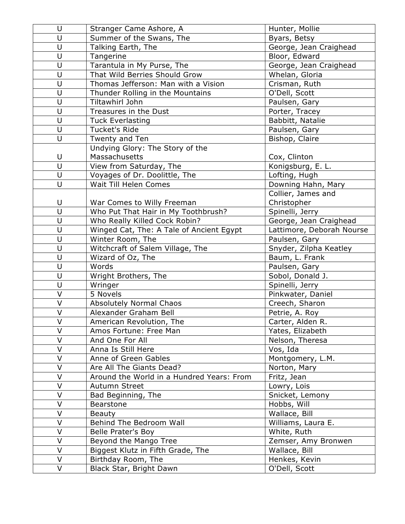| U                       | Stranger Came Ashore, A                   | Hunter, Mollie            |
|-------------------------|-------------------------------------------|---------------------------|
| U                       | Summer of the Swans, The                  | Byars, Betsy              |
| U                       | Talking Earth, The                        | George, Jean Craighead    |
| U                       | Tangerine                                 | Bloor, Edward             |
| $\cup$                  | Tarantula in My Purse, The                | George, Jean Craighead    |
| U                       | That Wild Berries Should Grow             | Whelan, Gloria            |
| $\cup$                  | Thomas Jefferson: Man with a Vision       | Crisman, Ruth             |
| $\cup$                  | Thunder Rolling in the Mountains          | O'Dell, Scott             |
| U                       | Tiltawhirl John                           | Paulsen, Gary             |
| U                       | Treasures in the Dust                     | Porter, Tracey            |
| $\cup$                  | <b>Tuck Everlasting</b>                   | Babbitt, Natalie          |
| U                       | <b>Tucket's Ride</b>                      | Paulsen, Gary             |
| $\cup$                  | Twenty and Ten                            | Bishop, Claire            |
|                         | Undying Glory: The Story of the           |                           |
| U                       | Massachusetts                             | Cox, Clinton              |
| U                       | View from Saturday, The                   | Konigsburg, E. L.         |
| $\cup$                  | Voyages of Dr. Doolittle, The             | Lofting, Hugh             |
| U                       | Wait Till Helen Comes                     | Downing Hahn, Mary        |
|                         |                                           | Collier, James and        |
| $\cup$                  | War Comes to Willy Freeman                | Christopher               |
| U                       | Who Put That Hair in My Toothbrush?       | Spinelli, Jerry           |
| U                       | Who Really Killed Cock Robin?             | George, Jean Craighead    |
| U                       | Winged Cat, The: A Tale of Ancient Egypt  | Lattimore, Deborah Nourse |
| $\cup$                  | Winter Room, The                          | Paulsen, Gary             |
| $\sf U$                 | Witchcraft of Salem Village, The          | Snyder, Zilpha Keatley    |
| U                       | Wizard of Oz, The                         | Baum, L. Frank            |
| U                       | Words                                     | Paulsen, Gary             |
| U                       | Wright Brothers, The                      | Sobol, Donald J.          |
| $\sf U$                 | Wringer                                   | Spinelli, Jerry           |
| V                       | 5 Novels                                  | Pinkwater, Daniel         |
| $\overline{\mathsf{V}}$ | Absolutely Normal Chaos                   | Creech, Sharon            |
| $\vee$                  | Alexander Graham Bell                     | Petrie, A. Roy            |
| $\mathsf V$             | American Revolution, The                  | Carter, Alden R.          |
| V                       | Amos Fortune: Free Man                    | Yates, Elizabeth          |
| V                       | And One For All                           | Nelson, Theresa           |
| V                       | Anna Is Still Here                        | Vos, Ida                  |
| $\vee$                  | Anne of Green Gables                      | Montgomery, L.M.          |
| V                       | Are All The Giants Dead?                  | Norton, Mary              |
| V                       | Around the World in a Hundred Years: From | Fritz, Jean               |
| $\vee$                  | Autumn Street                             | Lowry, Lois               |
| V                       | Bad Beginning, The                        | Snicket, Lemony           |
| V                       | Bearstone                                 | Hobbs, Will               |
| V                       | <b>Beauty</b>                             | Wallace, Bill             |
| $\vee$                  | Behind The Bedroom Wall                   | Williams, Laura E.        |
| V                       | Belle Prater's Boy                        | White, Ruth               |
| V                       | Beyond the Mango Tree                     | Zemser, Amy Bronwen       |
| V                       | Biggest Klutz in Fifth Grade, The         | Wallace, Bill             |
| $\vee$                  | Birthday Room, The                        | Henkes, Kevin             |
| V                       | Black Star, Bright Dawn                   | O'Dell, Scott             |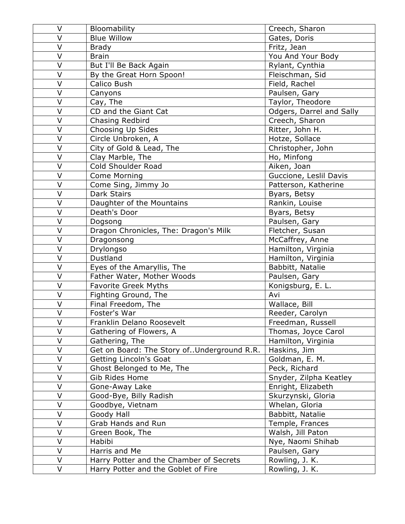| V      | Bloomability                                 | Creech, Sharon           |
|--------|----------------------------------------------|--------------------------|
| V      | <b>Blue Willow</b>                           | Gates, Doris             |
| V      | <b>Brady</b>                                 | Fritz, Jean              |
| $\vee$ | <b>Brain</b>                                 | You And Your Body        |
| V      | But I'll Be Back Again                       | Rylant, Cynthia          |
| V      | By the Great Horn Spoon!                     | Fleischman, Sid          |
| V      | Calico Bush                                  | Field, Rachel            |
| V      | Canyons                                      | Paulsen, Gary            |
| V      | Cay, The                                     | Taylor, Theodore         |
| V      | CD and the Giant Cat                         | Odgers, Darrel and Sally |
| V      | Chasing Redbird                              | Creech, Sharon           |
| V      | Choosing Up Sides                            | Ritter, John H.          |
| V      | Circle Unbroken, A                           | Hotze, Sollace           |
| V      | City of Gold & Lead, The                     | Christopher, John        |
| V      | Clay Marble, The                             | Ho, Minfong              |
| V      | Cold Shoulder Road                           | Aiken, Joan              |
| V      | <b>Come Morning</b>                          | Guccione, Leslil Davis   |
| V      | Come Sing, Jimmy Jo                          | Patterson, Katherine     |
| V      | <b>Dark Stairs</b>                           | Byars, Betsy             |
| V      | Daughter of the Mountains                    | Rankin, Louise           |
| V      | Death's Door                                 | Byars, Betsy             |
| V      | Dogsong                                      | Paulsen, Gary            |
| V      | Dragon Chronicles, The: Dragon's Milk        | Fletcher, Susan          |
| V      | Dragonsong                                   | McCaffrey, Anne          |
| V      | Drylongso                                    | Hamilton, Virginia       |
| V      | Dustland                                     | Hamilton, Virginia       |
| V      | Eyes of the Amaryllis, The                   | Babbitt, Natalie         |
| V      | Father Water, Mother Woods                   | Paulsen, Gary            |
| V      | <b>Favorite Greek Myths</b>                  | Konigsburg, E. L.        |
| V      | Fighting Ground, The                         | Avi                      |
| V      | Final Freedom, The                           | Wallace, Bill            |
| V      | Foster's War                                 | Reeder, Carolyn          |
| V      | Franklin Delano Roosevelt                    | Freedman, Russell        |
| V      | Gathering of Flowers, A                      | Thomas, Joyce Carol      |
| V      | Gathering, The                               | Hamilton, Virginia       |
| V      | Get on Board: The Story of. Underground R.R. | Haskins, Jim             |
| V      | Getting Lincoln's Goat                       | Goldman, E. M.           |
| V      | Ghost Belonged to Me, The                    | Peck, Richard            |
| V      | Gib Rides Home                               | Snyder, Zilpha Keatley   |
| V      | Gone-Away Lake                               | Enright, Elizabeth       |
| V      | Good-Bye, Billy Radish                       | Skurzynski, Gloria       |
| V      | Goodbye, Vietnam                             | Whelan, Gloria           |
| V      | Goody Hall                                   | Babbitt, Natalie         |
| V      | Grab Hands and Run                           | Temple, Frances          |
| V      | Green Book, The                              | Walsh, Jill Paton        |
| V      | Habibi                                       | Nye, Naomi Shihab        |
| V      | Harris and Me                                | Paulsen, Gary            |
| V      | Harry Potter and the Chamber of Secrets      | Rowling, J. K.           |
| V      | Harry Potter and the Goblet of Fire          | Rowling, J. K.           |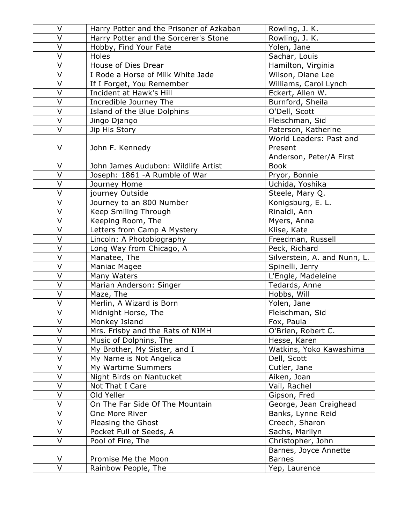| $\vee$                  | Harry Potter and the Prisoner of Azkaban | Rowling, J. K.               |
|-------------------------|------------------------------------------|------------------------------|
| V                       | Harry Potter and the Sorcerer's Stone    | Rowling, J. K.               |
| $\overline{V}$          | Hobby, Find Your Fate                    | Yolen, Jane                  |
| V                       | Holes                                    | Sachar, Louis                |
| $\overline{\mathsf{V}}$ | House of Dies Drear                      | Hamilton, Virginia           |
| V                       | I Rode a Horse of Milk White Jade        | Wilson, Diane Lee            |
| V                       | If I Forget, You Remember                | Williams, Carol Lynch        |
| V                       | Incident at Hawk's Hill                  | Eckert, Allen W.             |
| V                       | Incredible Journey The                   | Burnford, Sheila             |
| V                       | Island of the Blue Dolphins              | O'Dell, Scott                |
| V                       | Jingo Django                             | Fleischman, Sid              |
| V                       | Jip His Story                            | Paterson, Katherine          |
|                         |                                          | World Leaders: Past and      |
| V                       | John F. Kennedy                          | Present                      |
|                         |                                          | Anderson, Peter/A First      |
| V                       | John James Audubon: Wildlife Artist      | <b>Book</b>                  |
| V                       | Joseph: 1861 - A Rumble of War           | Pryor, Bonnie                |
| $\overline{\mathsf{V}}$ | Journey Home                             | Uchida, Yoshika              |
| V                       | journey Outside                          | Steele, Mary Q.              |
| V                       | Journey to an 800 Number                 | Konigsburg, E. L.            |
| V                       | Keep Smiling Through                     | Rinaldi, Ann                 |
| V                       | Keeping Room, The                        | Myers, Anna                  |
| V                       | Letters from Camp A Mystery              | Klise, Kate                  |
| V                       | Lincoln: A Photobiography                | Freedman, Russell            |
| V                       | Long Way from Chicago, A                 | Peck, Richard                |
| V                       | Manatee, The                             | Silverstein, A. and Nunn, L. |
| V                       | Maniac Magee                             | Spinelli, Jerry              |
| $\overline{\mathsf{V}}$ | Many Waters                              | L'Engle, Madeleine           |
| V                       | Marian Anderson: Singer                  | Tedards, Anne                |
| V                       | Maze, The                                | Hobbs, Will                  |
| $\overline{\mathsf{V}}$ | Merlin, A Wizard is Born                 | Yolen, Jane                  |
| V                       | Midnight Horse, The                      | Fleischman, Sid              |
| V                       | Monkey Island                            | Fox, Paula                   |
| V                       | Mrs. Frisby and the Rats of NIMH         | O'Brien, Robert C.           |
| V                       | Music of Dolphins, The                   | Hesse, Karen                 |
| V                       | My Brother, My Sister, and I             | Watkins, Yoko Kawashima      |
| V                       | My Name is Not Angelica                  | Dell, Scott                  |
| V                       | My Wartime Summers                       | Cutler, Jane                 |
| V                       | Night Birds on Nantucket                 | Aiken, Joan                  |
| V                       | Not That I Care                          | Vail, Rachel                 |
| V                       | Old Yeller                               | Gipson, Fred                 |
| V                       | On The Far Side Of The Mountain          | George, Jean Craighead       |
| V                       | One More River                           | Banks, Lynne Reid            |
| V                       | Pleasing the Ghost                       | Creech, Sharon               |
| V                       | Pocket Full of Seeds, A                  | Sachs, Marilyn               |
| V                       | Pool of Fire, The                        | Christopher, John            |
|                         |                                          | Barnes, Joyce Annette        |
| V                       | Promise Me the Moon                      | <b>Barnes</b>                |
| V                       | Rainbow People, The                      | Yep, Laurence                |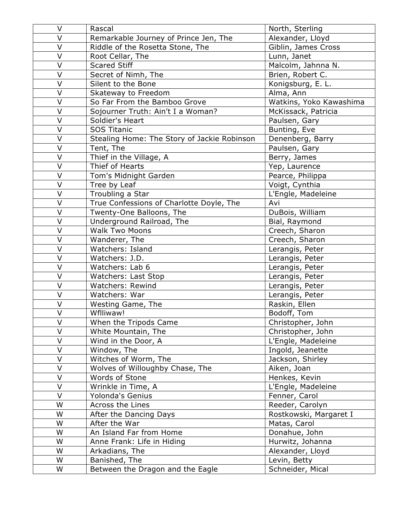| $\vee$                  | Rascal                                      | North, Sterling         |
|-------------------------|---------------------------------------------|-------------------------|
| V                       | Remarkable Journey of Prince Jen, The       | Alexander, Lloyd        |
| V                       | Riddle of the Rosetta Stone, The            | Giblin, James Cross     |
| V                       | Root Cellar, The                            | Lunn, Janet             |
| $\vee$                  | <b>Scared Stiff</b>                         | Malcolm, Jahnna N.      |
| V                       | Secret of Nimh, The                         | Brien, Robert C.        |
| V                       | Silent to the Bone                          | Konigsburg, E. L.       |
| V                       | Skateway to Freedom                         | Alma, Ann               |
| V                       | So Far From the Bamboo Grove                | Watkins, Yoko Kawashima |
| V                       | Sojourner Truth: Ain't I a Woman?           | McKissack, Patricia     |
| V                       | Soldier's Heart                             | Paulsen, Gary           |
| V                       | <b>SOS Titanic</b>                          | Bunting, Eve            |
| V                       | Stealing Home: The Story of Jackie Robinson | Denenberg, Barry        |
| $\vee$                  | Tent, The                                   | Paulsen, Gary           |
| V                       | Thief in the Village, A                     | Berry, James            |
| V                       | Thief of Hearts                             | Yep, Laurence           |
| V                       | Tom's Midnight Garden                       | Pearce, Philippa        |
| $\mathsf{V}$            | Tree by Leaf                                | Voigt, Cynthia          |
| V                       | Troubling a Star                            | L'Engle, Madeleine      |
| V                       | True Confessions of Charlotte Doyle, The    | Avi                     |
| $\overline{\mathsf{V}}$ | Twenty-One Balloons, The                    | DuBois, William         |
| V                       | Underground Railroad, The                   | Bial, Raymond           |
| V                       | <b>Walk Two Moons</b>                       | Creech, Sharon          |
| $\overline{\mathsf{V}}$ | Wanderer, The                               | Creech, Sharon          |
| V                       | Watchers: Island                            | Lerangis, Peter         |
| $\vee$                  | Watchers: J.D.                              | Lerangis, Peter         |
| $\vee$                  | Watchers: Lab 6                             | Lerangis, Peter         |
| V                       | Watchers: Last Stop                         | Lerangis, Peter         |
| V                       | Watchers: Rewind                            | Lerangis, Peter         |
| V                       | Watchers: War                               | Lerangis, Peter         |
| V                       | Westing Game, The                           | Raskin, Ellen           |
| V                       | Wflliwaw!                                   | Bodoff, Tom             |
| V                       | When the Tripods Came                       | Christopher, John       |
| V                       | White Mountain, The                         | Christopher, John       |
| V                       | Wind in the Door, A                         | L'Engle, Madeleine      |
| V                       | Window, The                                 | Ingold, Jeanette        |
| $\overline{V}$          | Witches of Worm, The                        | Jackson, Shirley        |
| V                       | Wolves of Willoughby Chase, The             | Aiken, Joan             |
| V                       | Words of Stone                              | Henkes, Kevin           |
| V                       | Wrinkle in Time, A                          | L'Engle, Madeleine      |
| V                       | Yolonda's Genius                            | Fenner, Carol           |
| W                       | Across the Lines                            | Reeder, Carolyn         |
| W                       | After the Dancing Days                      | Rostkowski, Margaret I  |
| W                       | After the War                               | Matas, Carol            |
| W                       | An Island Far from Home                     | Donahue, John           |
| W                       | Anne Frank: Life in Hiding                  | Hurwitz, Johanna        |
| W                       | Arkadians, The                              | Alexander, Lloyd        |
| W                       | Banished, The                               | Levin, Betty            |
| W                       | Between the Dragon and the Eagle            | Schneider, Mical        |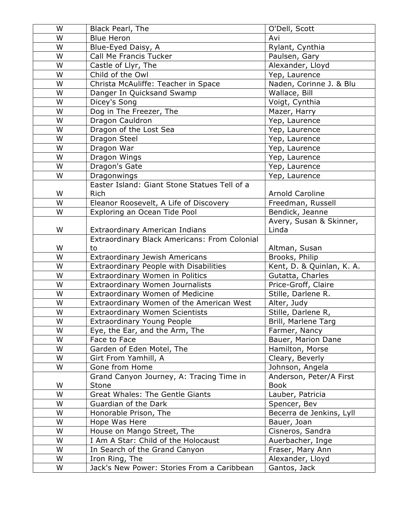| W | Black Pearl, The                             | O'Dell, Scott             |
|---|----------------------------------------------|---------------------------|
| W | <b>Blue Heron</b>                            | Avi                       |
| W | Blue-Eyed Daisy, A                           | Rylant, Cynthia           |
| W | Call Me Francis Tucker                       | Paulsen, Gary             |
| W | Castle of Llyr, The                          | Alexander, Lloyd          |
| W | Child of the Owl                             | Yep, Laurence             |
| W | Christa McAuliffe: Teacher in Space          | Naden, Corinne J. & Blu   |
| W | Danger In Quicksand Swamp                    | Wallace, Bill             |
| W | Dicey's Song                                 | Voigt, Cynthia            |
| W | Dog in The Freezer, The                      | Mazer, Harry              |
| W | Dragon Cauldron                              | Yep, Laurence             |
| W | Dragon of the Lost Sea                       | Yep, Laurence             |
| W | Dragon Steel                                 | Yep, Laurence             |
| W | Dragon War                                   | Yep, Laurence             |
| W | Dragon Wings                                 | Yep, Laurence             |
| W | Dragon's Gate                                | Yep, Laurence             |
| W | Dragonwings                                  | Yep, Laurence             |
|   | Easter Island: Giant Stone Statues Tell of a |                           |
| W | <b>Rich</b>                                  | Arnold Caroline           |
| W | Eleanor Roosevelt, A Life of Discovery       | Freedman, Russell         |
| W | Exploring an Ocean Tide Pool                 | Bendick, Jeanne           |
|   |                                              | Avery, Susan & Skinner,   |
| W | Extraordinary American Indians               | Linda                     |
|   | Extraordinary Black Americans: From Colonial |                           |
| W | to                                           | Altman, Susan             |
| W | Extraordinary Jewish Americans               | Brooks, Philip            |
| W | Extraordinary People with Disabilities       | Kent, D. & Quinlan, K. A. |
| W | Extraordinary Women in Politics              | Gutatta, Charles          |
| W | Extraordinary Women Journalists              | Price-Groff, Claire       |
| W | Extraordinary Women of Medicine              | Stille, Darlene R.        |
| W | Extraordinary Women of the American West     | Alter, Judy               |
| W | <b>Extraordinary Women Scientists</b>        | Stille, Darlene R,        |
| W | Extraordinary Young People                   | Brill, Marlene Targ       |
| W | Eye, the Ear, and the Arm, The               | Farmer, Nancy             |
| W | Face to Face                                 | Bauer, Marion Dane        |
| W | Garden of Eden Motel, The                    | Hamilton, Morse           |
| W | Girt From Yamhill, A                         | Cleary, Beverly           |
| W | Gone from Home                               | Johnson, Angela           |
|   | Grand Canyon Journey, A: Tracing Time in     | Anderson, Peter/A First   |
| W | Stone                                        | <b>Book</b>               |
| W | <b>Great Whales: The Gentle Giants</b>       | Lauber, Patricia          |
| W | Guardian of the Dark                         | Spencer, Bev              |
| W | Honorable Prison, The                        | Becerra de Jenkins, Lyll  |
| W | Hope Was Here                                | Bauer, Joan               |
| W | House on Mango Street, The                   | Cisneros, Sandra          |
| W | I Am A Star: Child of the Holocaust          | Auerbacher, Inge          |
| W | In Search of the Grand Canyon                | Fraser, Mary Ann          |
| W | Iron Ring, The                               | Alexander, Lloyd          |
| W | Jack's New Power: Stories From a Caribbean   | Gantos, Jack              |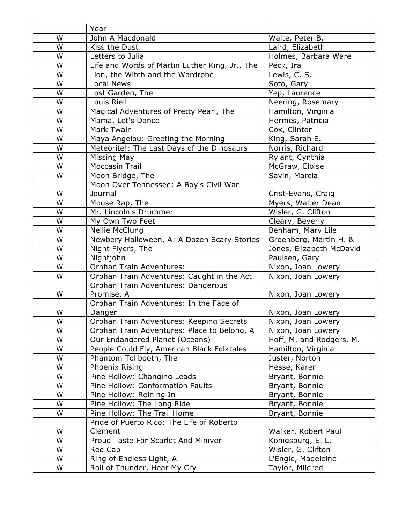|   | Year                                           |                          |
|---|------------------------------------------------|--------------------------|
| W | John A Macdonald                               | Waite, Peter B.          |
| W | Kiss the Dust                                  | Laird, Elizabeth         |
| W | Letters to Julia                               | Holmes, Barbara Ware     |
| W | Life and Words of Martin Luther King, Jr., The | Peck, Ira                |
| W | Lion, the Witch and the Wardrobe               | Lewis, C. S.             |
| W | <b>Local News</b>                              | Soto, Gary               |
| W | Lost Garden, The                               | Yep, Laurence            |
| W | Louis Riell                                    | Neering, Rosemary        |
| W | Magical Adventures of Pretty Pearl, The        | Hamilton, Virginia       |
| W | Mama, Let's Dance                              | Hermes, Patricia         |
| W | Mark Twain                                     | Cox, Clinton             |
| W | Maya Angelou: Greeting the Morning             | King, Sarah E.           |
| W | Meteorite!: The Last Days of the Dinosaurs     | Norris, Richard          |
| W | <b>Missing May</b>                             | Rylant, Cynthia          |
| W | <b>Moccasin Trail</b>                          | McGraw, Eloise           |
| W | Moon Bridge, The                               | Savin, Marcia            |
|   | Moon Over Tennessee: A Boy's Civil War         |                          |
| W | Journal                                        | Crist-Evans, Craig       |
| W | Mouse Rap, The                                 | Myers, Walter Dean       |
| W | Mr. Lincoln's Drummer                          | Wisler, G. Clifton       |
| W | My Own Two Feet                                | Cleary, Beverly          |
| W | <b>Nellie McClung</b>                          | Benham, Mary Lile        |
| W | Newbery Halloween, A: A Dozen Scary Stories    | Greenberg, Martin H. &   |
| W | Night Flyers, The                              | Jones, Elizabeth McDavid |
| W | Nightjohn                                      | Paulsen, Gary            |
| W | Orphan Train Adventures:                       | Nixon, Joan Lowery       |
| W | Orphan Train Adventures: Caught in the Act     | Nixon, Joan Lowery       |
|   | Orphan Train Adventures: Dangerous             |                          |
| W | Promise, A                                     | Nixon, Joan Lowery       |
|   | Orphan Train Adventures: In the Face of        |                          |
| W | Danger                                         | Nixon, Joan Lowery       |
| W | Orphan Train Adventures: Keeping Secrets       | Nixon, Joan Lowery       |
| W | Orphan Train Adventures: Place to Belong, A    | Nixon, Joan Lowery       |
| W | Our Endangered Planet (Oceans)                 | Hoff, M. and Rodgers, M. |
| W | People Could Fly, American Black Folktales     | Hamilton, Virginia       |
| W | Phantom Tollbooth, The                         | Juster, Norton           |
| W | Phoenix Rising                                 | Hesse, Karen             |
| W | Pine Hollow: Changing Leads                    | Bryant, Bonnie           |
| W | Pine Hollow: Conformation Faults               | Bryant, Bonnie           |
| W | Pine Hollow: Reining In                        | Bryant, Bonnie           |
| W | Pine Hollow: The Long Ride                     | Bryant, Bonnie           |
| W | Pine Hollow: The Trail Home                    | Bryant, Bonnie           |
|   | Pride of Puerto Rico: The Life of Roberto      |                          |
| W | Clement                                        | Walker, Robert Paul      |
| W | Proud Taste For Scarlet And Miniver            | Konigsburg, E. L.        |
| W | Red Cap                                        | Wisler, G. Clifton       |
| W | Ring of Endless Light, A                       | L'Engle, Madeleine       |
| W | Roll of Thunder, Hear My Cry                   | Taylor, Mildred          |